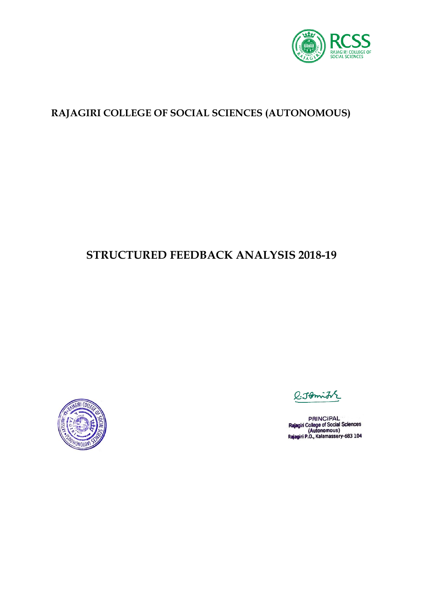

### **RAJAGIRI COLLEGE OF SOCIAL SCIENCES (AUTONOMOUS)**

# **STRUCTURED FEEDBACK ANALYSIS 2018-19**



 $Q$ : Johnith

PRINCIPAL<br>Rajagiri College of Social Sciences<br>(Autonomous)<br>Rajagiri P.O., Kalamassery-683 104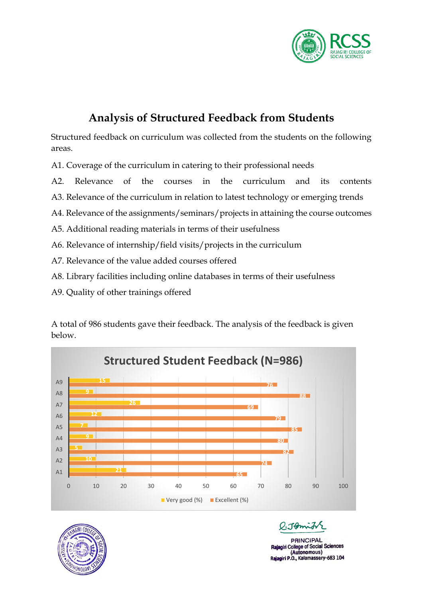

# **Analysis of Structured Feedback from Students**

Structured feedback on curriculum was collected from the students on the following areas.

A1. Coverage of the curriculum in catering to their professional needs

A2. Relevance of the courses in the curriculum and its contents

A3. Relevance of the curriculum in relation to latest technology or emerging trends

A4. Relevance of the assignments/seminars/projects in attaining the course outcomes

A5. Additional reading materials in terms of their usefulness

A6. Relevance of internship/field visits/projects in the curriculum

- A7. Relevance of the value added courses offered
- A8. Library facilities including online databases in terms of their usefulness

A9. Quality of other trainings offered

A total of 986 students gave their feedback. The analysis of the feedback is given below.





There

**PRINCIPAL College of Social Sciences** (Autonomous) Rajagiri P.O., Kalamassery-683 104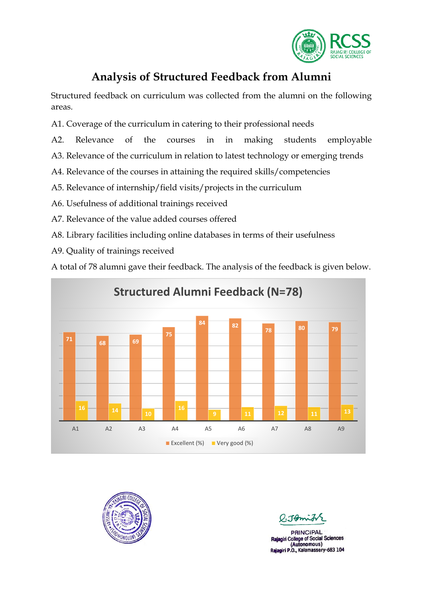

## **Analysis of Structured Feedback from Alumni**

Structured feedback on curriculum was collected from the alumni on the following areas.

- A1. Coverage of the curriculum in catering to their professional needs
- A2. Relevance of the courses in in making students employable
- A3. Relevance of the curriculum in relation to latest technology or emerging trends
- A4. Relevance of the courses in attaining the required skills/competencies
- A5. Relevance of internship/field visits/projects in the curriculum
- A6. Usefulness of additional trainings received
- A7. Relevance of the value added courses offered
- A8. Library facilities including online databases in terms of their usefulness
- A9. Quality of trainings received

A total of 78 alumni gave their feedback. The analysis of the feedback is given below.





**PRINCIPAL** College of Social Sciences (Autonomous) Rajagiri P.O., Kalamassery-683 104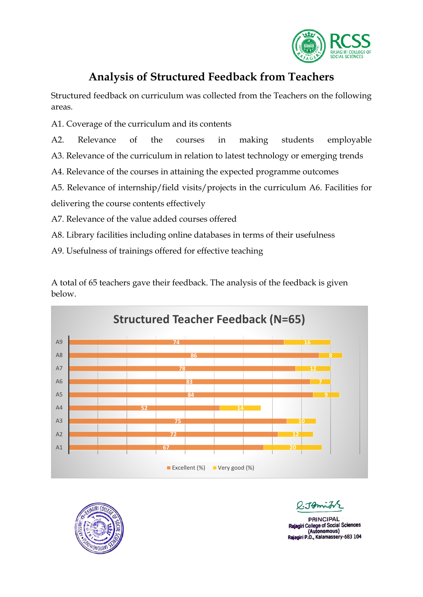

## **Analysis of Structured Feedback from Teachers**

Structured feedback on curriculum was collected from the Teachers on the following areas.

A1. Coverage of the curriculum and its contents

A2. Relevance of the courses in making students employable

A3. Relevance of the curriculum in relation to latest technology or emerging trends

A4. Relevance of the courses in attaining the expected programme outcomes

A5. Relevance of internship/field visits/projects in the curriculum A6. Facilities for

delivering the course contents effectively

A7. Relevance of the value added courses offered

A8. Library facilities including online databases in terms of their usefulness

A9. Usefulness of trainings offered for effective teaching

A total of 65 teachers gave their feedback. The analysis of the feedback is given below.





 $0.1$ Pomit

**PRINCIPAL** giri College of Social Sciences (Autonomous) Rajagiri P.O., Kalamassery-683 104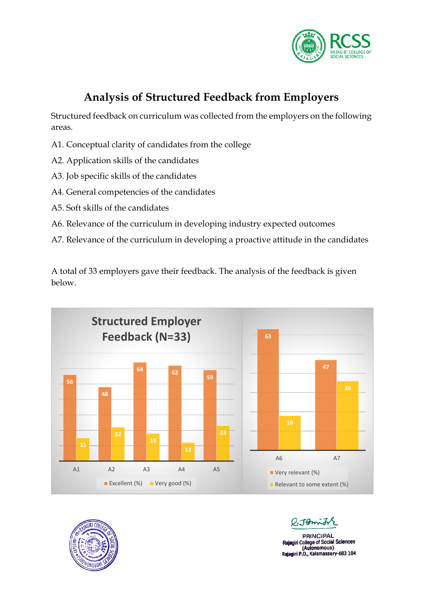

# **Analysis of Structured Feedback from Employers**

Structured feedback on curriculum was collected from the employers on the following areas.

- A1. Conceptual clarity of candidates from the college
- A2. Application skills of the candidates
- A3. Job specific skills of the candidates
- A4. General competencies of the candidates
- A5. Soft skills of the candidates
- A6. Relevance of the curriculum in developing industry expected outcomes
- A7. Relevance of the curriculum in developing a proactive attitude in the candidates

A total of 33 employers gave their feedback. The analysis of the feedback is given below.





O. Tomin

**PRINCIPAL** giri College of Social Sciences (Autonomous) Rajagiri P.O., Kalamassery-683 104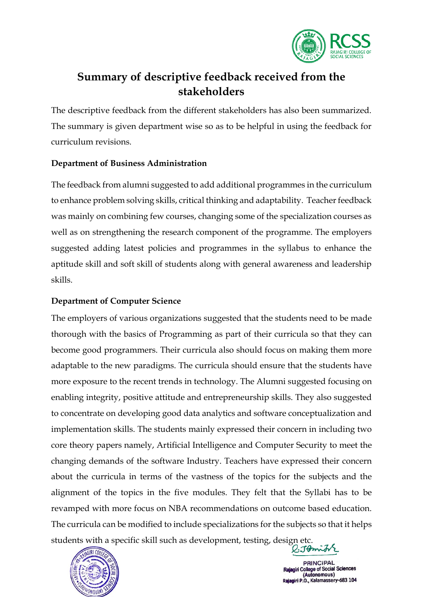

## **Summary of descriptive feedback received from the stakeholders**

The descriptive feedback from the different stakeholders has also been summarized. The summary is given department wise so as to be helpful in using the feedback for curriculum revisions.

### **Department of Business Administration**

The feedback from alumni suggested to add additional programmes in the curriculum to enhance problem solving skills, critical thinking and adaptability. Teacher feedback was mainly on combining few courses, changing some of the specialization courses as well as on strengthening the research component of the programme. The employers suggested adding latest policies and programmes in the syllabus to enhance the aptitude skill and soft skill of students along with general awareness and leadership skills.

### **Department of Computer Science**

The employers of various organizations suggested that the students need to be made thorough with the basics of Programming as part of their curricula so that they can become good programmers. Their curricula also should focus on making them more adaptable to the new paradigms. The curricula should ensure that the students have more exposure to the recent trends in technology. The Alumni suggested focusing on enabling integrity, positive attitude and entrepreneurship skills. They also suggested to concentrate on developing good data analytics and software conceptualization and implementation skills. The students mainly expressed their concern in including two core theory papers namely, Artificial Intelligence and Computer Security to meet the changing demands of the software Industry. Teachers have expressed their concern about the curricula in terms of the vastness of the topics for the subjects and the alignment of the topics in the five modules. They felt that the Syllabi has to be revamped with more focus on NBA recommendations on outcome based education. The curricula can be modified to include specializations for the subjects so that it helps students with a specific skill such as development, testing, design etc.



**PRINCIPAL** College of Social Sciences Autonomous) .O., Kalamassery-683 104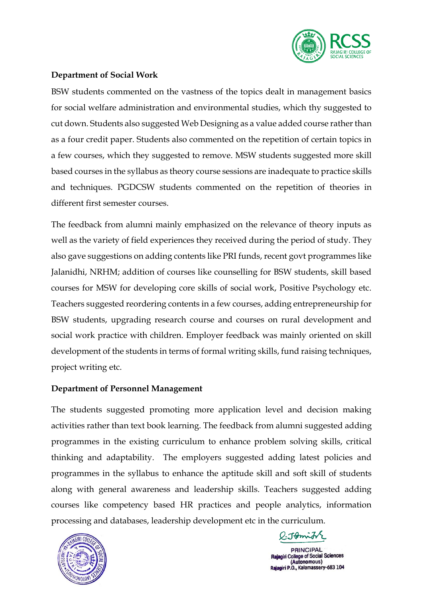

### **Department of Social Work**

BSW students commented on the vastness of the topics dealt in management basics for social welfare administration and environmental studies, which thy suggested to cut down. Students also suggested Web Designing as a value added course rather than as a four credit paper. Students also commented on the repetition of certain topics in a few courses, which they suggested to remove. MSW students suggested more skill based courses in the syllabus as theory course sessions are inadequate to practice skills and techniques. PGDCSW students commented on the repetition of theories in different first semester courses.

The feedback from alumni mainly emphasized on the relevance of theory inputs as well as the variety of field experiences they received during the period of study. They also gave suggestions on adding contents like PRI funds, recent govt programmes like Jalanidhi, NRHM; addition of courses like counselling for BSW students, skill based courses for MSW for developing core skills of social work, Positive Psychology etc. Teachers suggested reordering contents in a few courses, adding entrepreneurship for BSW students, upgrading research course and courses on rural development and social work practice with children. Employer feedback was mainly oriented on skill development of the students in terms of formal writing skills, fund raising techniques, project writing etc.

### **Department of Personnel Management**

The students suggested promoting more application level and decision making activities rather than text book learning. The feedback from alumni suggested adding programmes in the existing curriculum to enhance problem solving skills, critical thinking and adaptability. The employers suggested adding latest policies and programmes in the syllabus to enhance the aptitude skill and soft skill of students along with general awareness and leadership skills. Teachers suggested adding courses like competency based HR practices and people analytics, information processing and databases, leadership development etc in the curriculum.



l:Jomith

**PRINCIPAL** College of Social Sciences (Autonomous) Rajagiri P.O., Kalamassery-683 104